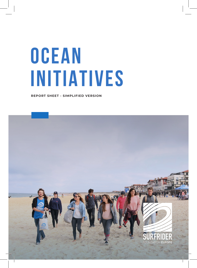## **OCEan INITIATIVES**

**REPORT SHEET - SIMPLIFIED VERSION**

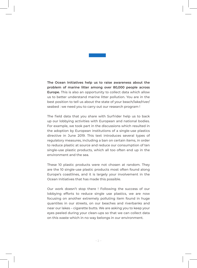

**The Ocean Initiatives help us to raise awareness about the problem of marine litter among over 80,000 people across Europe.** This is also an opportunity to collect data which allow us to better understand marine litter pollution. You are in the best position to tell us about the state of your beach/lake/river/ seabed : we need you to carry out our research program !

The field data that you share with Surfrider help us to back up our lobbying activities with European and national bodies. For example, we took part in the discussions which resulted in the adoption by European institutions of a single-use plastics directive in June 2019. This text introduces several types of regulatory measures, including a ban on certain items, in order to reduce plastic at source and reduce our consumption of ten single-use plastic products, which all too often end up in the environment and the sea.

These 10 plastic products were not chosen at random. They are the 10 single-use plastic products most often found along Europe's coastlines, and it is largely your involvement in the Ocean Initiatives that has made this possible.

Our work doesn't stop there ! Following the success of our lobbying efforts to reduce single use plastics, we are now focusing on another extremely polluting item found in huge quantites in our streets, on our beaches and riverbanks and near our lakes – cigarette butts. We are asking you to keep your eyes peeled during your clean-ups so that we can collect data on this waste which in no way belongs in our environment.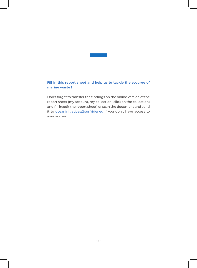

## **Fill in this report sheet and help us to tackle the scourge of marine waste !**

Don't forget to transfer the findings on the online version of the report sheet (my account, my collection (click on the collection) and fill in/edit the report sheet) or scan the document and send it to oceaninitiatives@surfrider.eu if you don't have access to your account.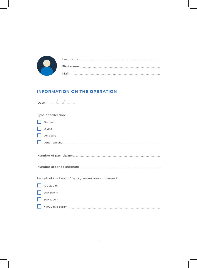

## **INFORMATION ON THE OPERATION**

| Date: $\frac{1}{2}$ /                              |
|----------------------------------------------------|
| Type of collection:                                |
| On foot                                            |
| Diving                                             |
| On-board                                           |
|                                                    |
|                                                    |
|                                                    |
|                                                    |
| Length of the beach / bank / watercourse observed: |
| 100-200 m                                          |
| 200-500 m                                          |
| 500-1000 m                                         |
|                                                    |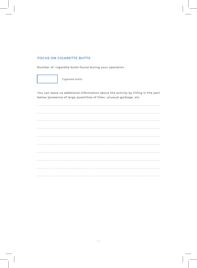## **FOCUS ON CIGARETTE BUTTS**

Number of cigarette butts found during your operation :



Cigarette butts

You can leave us additional information about the activity by filling in the part below (presence of large quantities of litter, unusual garbage, etc.